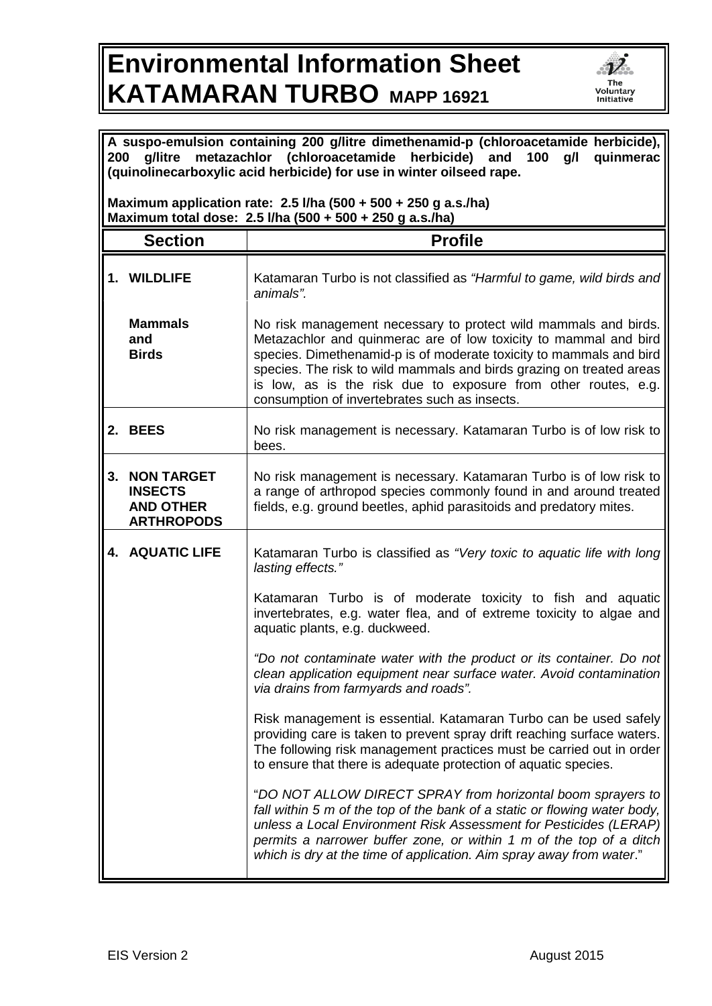## **Environmental Information Sheet KATAMARAN TURBO MAPP 16921**



| A suspo-emulsion containing 200 g/litre dimethenamid-p (chloroacetamide herbicide),<br>metazachlor (chloroacetamide<br>herbicide) and 100<br>g/litre<br>g/l<br>quinmerac<br>200<br>(quinolinecarboxylic acid herbicide) for use in winter oilseed rape. |                                                                              |                                                                                                                                                                                                                                                                                                                                                                                                       |  |
|---------------------------------------------------------------------------------------------------------------------------------------------------------------------------------------------------------------------------------------------------------|------------------------------------------------------------------------------|-------------------------------------------------------------------------------------------------------------------------------------------------------------------------------------------------------------------------------------------------------------------------------------------------------------------------------------------------------------------------------------------------------|--|
| Maximum application rate: $2.5$ I/ha (500 + 500 + 250 g a.s./ha)<br>Maximum total dose: 2.5 l/ha (500 + 500 + 250 g a.s./ha)                                                                                                                            |                                                                              |                                                                                                                                                                                                                                                                                                                                                                                                       |  |
|                                                                                                                                                                                                                                                         | <b>Section</b>                                                               | <b>Profile</b>                                                                                                                                                                                                                                                                                                                                                                                        |  |
|                                                                                                                                                                                                                                                         | <b>1. WILDLIFE</b>                                                           | Katamaran Turbo is not classified as "Harmful to game, wild birds and<br>animals".                                                                                                                                                                                                                                                                                                                    |  |
|                                                                                                                                                                                                                                                         | <b>Mammals</b><br>and<br><b>Birds</b>                                        | No risk management necessary to protect wild mammals and birds.<br>Metazachlor and quinmerac are of low toxicity to mammal and bird<br>species. Dimethenamid-p is of moderate toxicity to mammals and bird<br>species. The risk to wild mammals and birds grazing on treated areas<br>is low, as is the risk due to exposure from other routes, e.g.<br>consumption of invertebrates such as insects. |  |
|                                                                                                                                                                                                                                                         | 2. BEES                                                                      | No risk management is necessary. Katamaran Turbo is of low risk to<br>bees.                                                                                                                                                                                                                                                                                                                           |  |
| 3.                                                                                                                                                                                                                                                      | <b>NON TARGET</b><br><b>INSECTS</b><br><b>AND OTHER</b><br><b>ARTHROPODS</b> | No risk management is necessary. Katamaran Turbo is of low risk to<br>a range of arthropod species commonly found in and around treated<br>fields, e.g. ground beetles, aphid parasitoids and predatory mites.                                                                                                                                                                                        |  |
|                                                                                                                                                                                                                                                         | <b>4. AQUATIC LIFE</b>                                                       | Katamaran Turbo is classified as "Very toxic to aquatic life with long<br>lasting effects."                                                                                                                                                                                                                                                                                                           |  |
|                                                                                                                                                                                                                                                         |                                                                              | Katamaran Turbo is of moderate toxicity to fish and aquatic<br>invertebrates, e.g. water flea, and of extreme toxicity to algae and<br>aquatic plants, e.g. duckweed.                                                                                                                                                                                                                                 |  |
|                                                                                                                                                                                                                                                         |                                                                              | "Do not contaminate water with the product or its container. Do not<br>clean application equipment near surface water. Avoid contamination<br>via drains from farmyards and roads".                                                                                                                                                                                                                   |  |
|                                                                                                                                                                                                                                                         |                                                                              | Risk management is essential. Katamaran Turbo can be used safely<br>providing care is taken to prevent spray drift reaching surface waters.<br>The following risk management practices must be carried out in order<br>to ensure that there is adequate protection of aquatic species.                                                                                                                |  |
|                                                                                                                                                                                                                                                         |                                                                              | "DO NOT ALLOW DIRECT SPRAY from horizontal boom sprayers to<br>fall within 5 m of the top of the bank of a static or flowing water body,<br>unless a Local Environment Risk Assessment for Pesticides (LERAP)<br>permits a narrower buffer zone, or within 1 m of the top of a ditch<br>which is dry at the time of application. Aim spray away from water."                                          |  |